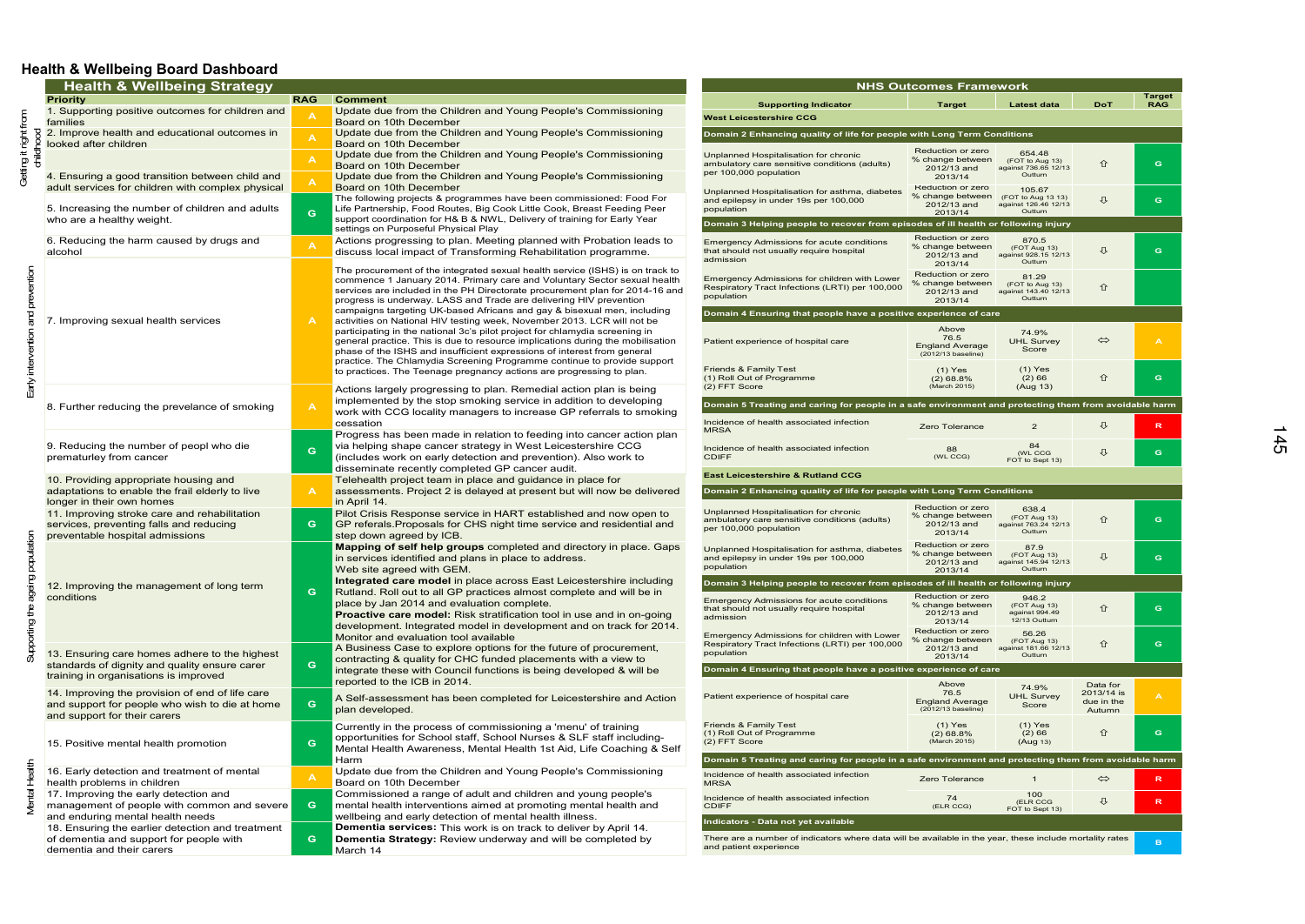## **Health & Wellbeing Board Dashboard**

| <b>Health &amp; Wellbeing Strategy</b><br><b>Priority</b><br><b>RAG</b><br><b>Comment</b><br><b>Supporting Indicator</b><br><b>Target</b><br><b>Latest data</b><br>1. Supporting positive outcomes for children and<br>Update due from the Children and Young People's Commissioning<br>$f_{\text{nom}}$<br><b>West Leicestershire CCG</b><br>families<br>Board on 10th December<br>Update due from the Children and Young People's Commissioning<br>2. Improve health and educational outcomes in<br>Betting it right<br>Domain 2 Enhancing quality of life for people with Long Term Conditions<br>looked after children<br>Board on 10th December<br>Reduction or zero<br>Update due from the Children and Young People's Commissioning<br>654.48<br>Unplanned Hospitalisation for chronic<br>% change between<br>(FOT to Aug 13)<br>ambulatory care sensitive conditions (adults)<br>Board on 10th December<br>against 736.65 12/13<br>2012/13 and<br>per 100,000 population<br>Outturn<br>4. Ensuring a good transition between child and<br>Update due from the Children and Young People's Commissioning<br>2013/14<br>adult services for children with complex physical<br>Board on 10th December<br>Reduction or zero<br>105.67<br>Unplanned Hospitalisation for asthma, diabetes<br>% change between<br>(FOT to Aug 13 13)<br>The following projects & programmes have been commissioned: Food For<br>and epilepsy in under 19s per 100,000<br>2012/13 and<br>against 126.46 12/13<br>5. Increasing the number of children and adults<br>Life Partnership, Food Routes, Big Cook Little Cook, Breast Feeding Peer<br>population<br>Outturn<br>2013/14<br>G<br>support coordination for H& B & NWL, Delivery of training for Early Year<br>who are a healthy weight.<br>Domain 3 Helping people to recover from episodes of ill health or following injury<br>settings on Purposeful Physical Play<br>Reduction or zero<br>Actions progressing to plan. Meeting planned with Probation leads to<br>6. Reducing the harm caused by drugs and<br>870.5<br><b>Emergency Admissions for acute conditions</b><br>% change between<br>(FOT Aug 13)<br>discuss local impact of Transforming Rehabilitation programme.<br>that should not usually require hospital<br>alcohol<br>2012/13 and<br>against 928.15 12/13<br>admission<br>Outturn<br>2013/14<br>The procurement of the integrated sexual health service (ISHS) is on track to<br>Reduction or zero<br>81.29<br>Emergency Admissions for children with Lower<br>commence 1 January 2014. Primary care and Voluntary Sector sexual health<br>% change between<br>(FOT to Aug 13)<br>Respiratory Tract Infections (LRTI) per 100,000<br>services are included in the PH Directorate procurement plan for 2014-16 and<br>2012/13 and<br>against 143.40 12/13<br>population<br>Outturn<br>progress is underway. LASS and Trade are delivering HIV prevention<br>2013/14<br>campaigns targeting UK-based Africans and gay & bisexual men, including<br>Domain 4 Ensuring that people have a positive experience of care<br>activities on National HIV testing week, November 2013. LCR will not be<br>7. Improving sexual health services<br>Above<br>participating in the national 3c's pilot project for chlamydia screening in<br>74.9%<br>76.5<br>general practice. This is due to resource implications during the mobilisation<br><b>UHL Survey</b><br>Patient experience of hospital care<br><b>England Average</b><br>Score<br>phase of the ISHS and insufficient expressions of interest from general<br>(2012/13 baseline)<br>practice. The Chlamydia Screening Programme continue to provide support<br><b>Friends &amp; Family Test</b><br>$(1)$ Yes<br>$(1)$ Yes<br>to practices. The Teenage pregnancy actions are progressing to plan.<br>(1) Roll Out of Programme<br>(2) 66<br>$(2)$ 68.8%<br>(2) FFT Score<br>(March 2015)<br>(Aug 13)<br>Actions largely progressing to plan. Remedial action plan is being<br>implemented by the stop smoking service in addition to developing<br>Domain 5 Treating and caring for people in a safe environment and protecting them from avoidable harm<br>8. Further reducing the prevelance of smoking<br>work with CCG locality managers to increase GP referrals to smoking<br>Incidence of health associated infection<br>cessation<br>$\overline{2}$<br><b>Zero Tolerance</b><br><b>MRSA</b><br>Progress has been made in relation to feeding into cancer action plan<br>9. Reducing the number of peopl who die<br>via helping shape cancer strategy in West Leicestershire CCG<br>84<br>Incidence of health associated infection<br>88<br>G<br>(WL CCG<br>prematurley from cancer<br>(includes work on early detection and prevention). Also work to<br><b>CDIFF</b><br>(WL CCG)<br>FOT to Sept 13)<br>disseminate recently completed GP cancer audit.<br><b>East Leicestershire &amp; Rutland CCG</b><br>10. Providing appropriate housing and<br>Telehealth project team in place and guidance in place for<br>adaptations to enable the frail elderly to live<br>assessments. Project 2 is delayed at present but will now be delivered<br>A<br>Domain 2 Enhancing quality of life for people with Long Term Conditions<br>in April 14.<br>longer in their own homes<br>Reduction or zero<br>638.4<br>Unplanned Hospitalisation for chronic<br>Pilot Crisis Response service in HART established and now open to<br>11. Improving stroke care and rehabilitation<br>% change between<br>(FOT Aug 13)<br>ambulatory care sensitive conditions (adults)<br>GP referals. Proposals for CHS night time service and residential and<br>services, preventing falls and reducing<br>G.<br>against 763.24 12/13<br>2012/13 and<br>per 100,000 population<br>Outturn<br>2013/14<br>preventable hospital admissions<br>step down agreed by ICB.<br><b>Mapping of self help groups</b> completed and directory in place. Gaps<br>Reduction or zero<br>87.9<br>Unplanned Hospitalisation for asthma, diabetes<br>% change between<br>(FOT Aug 13)<br>in services identified and plans in place to address.<br>and epilepsy in under 19s per 100,000<br>against 145.94 12/13<br>2012/13 and<br>population<br>Web site agreed with GEM.<br>Outturn<br>2013/14<br>Integrated care model in place across East Leicestershire including<br>Domain 3 Helping people to recover from episodes of ill health or following injury<br>12. Improving the management of long term<br>Rutland. Roll out to all GP practices almost complete and will be in<br>G.<br>Reduction or zero<br>conditions<br>946.2<br><b>Emergency Admissions for acute conditions</b><br>place by Jan 2014 and evaluation complete.<br>% change between<br>(FOT Aug 13)<br>that should not usually require hospital<br>2012/13 and<br>against 994.49<br>Proactive care model: Risk stratification tool in use and in on-going<br>admission<br>12/13 Outturn<br>2013/14<br>development. Integrated model in development and on track for 2014.<br>Reduction or zero<br>56.26<br>Emergency Admissions for children with Lower<br>Monitor and evaluation tool available<br>% change between<br>(FOT Aug 13)<br>Respiratory Tract Infections (LRTI) per 100,000<br>A Business Case to explore options for the future of procurement,<br>against 181.66 12/13<br>2012/13 and<br>13. Ensuring care homes adhere to the highest<br>population<br>Outturn<br>2013/14<br>contracting & quality for CHC funded placements with a view to<br>G.<br>standards of dignity and quality ensure carer<br>integrate these with Council functions is being developed & will be<br>Domain 4 Ensuring that people have a positive experience of care<br>training in organisations is improved<br>reported to the ICB in 2014.<br>Above<br>74.9%<br>76.5<br>14. Improving the provision of end of life care<br>Patient experience of hospital care<br><b>UHL Survey</b><br>A Self-assessment has been completed for Leicestershire and Action<br><b>England Average</b><br>G.<br>and support for people who wish to die at home<br>Score<br>(2012/13 baseline)<br>plan developed. |                                                |                 |
|--------------------------------------------------------------------------------------------------------------------------------------------------------------------------------------------------------------------------------------------------------------------------------------------------------------------------------------------------------------------------------------------------------------------------------------------------------------------------------------------------------------------------------------------------------------------------------------------------------------------------------------------------------------------------------------------------------------------------------------------------------------------------------------------------------------------------------------------------------------------------------------------------------------------------------------------------------------------------------------------------------------------------------------------------------------------------------------------------------------------------------------------------------------------------------------------------------------------------------------------------------------------------------------------------------------------------------------------------------------------------------------------------------------------------------------------------------------------------------------------------------------------------------------------------------------------------------------------------------------------------------------------------------------------------------------------------------------------------------------------------------------------------------------------------------------------------------------------------------------------------------------------------------------------------------------------------------------------------------------------------------------------------------------------------------------------------------------------------------------------------------------------------------------------------------------------------------------------------------------------------------------------------------------------------------------------------------------------------------------------------------------------------------------------------------------------------------------------------------------------------------------------------------------------------------------------------------------------------------------------------------------------------------------------------------------------------------------------------------------------------------------------------------------------------------------------------------------------------------------------------------------------------------------------------------------------------------------------------------------------------------------------------------------------------------------------------------------------------------------------------------------------------------------------------------------------------------------------------------------------------------------------------------------------------------------------------------------------------------------------------------------------------------------------------------------------------------------------------------------------------------------------------------------------------------------------------------------------------------------------------------------------------------------------------------------------------------------------------------------------------------------------------------------------------------------------------------------------------------------------------------------------------------------------------------------------------------------------------------------------------------------------------------------------------------------------------------------------------------------------------------------------------------------------------------------------------------------------------------------------------------------------------------------------------------------------------------------------------------------------------------------------------------------------------------------------------------------------------------------------------------------------------------------------------------------------------------------------------------------------------------------------------------------------------------------------------------------------------------------------------------------------------------------------------------------------------------------------------------------------------------------------------------------------------------------------------------------------------------------------------------------------------------------------------------------------------------------------------------------------------------------------------------------------------------------------------------------------------------------------------------------------------------------------------------------------------------------------------------------------------------------------------------------------------------------------------------------------------------------------------------------------------------------------------------------------------------------------------------------------------------------------------------------------------------------------------------------------------------------------------------------------------------------------------------------------------------------------------------------------------------------------------------------------------------------------------------------------------------------------------------------------------------------------------------------------------------------------------------------------------------------------------------------------------------------------------------------------------------------------------------------------------------------------------------------------------------------------------------------------------------------------------------------------------------------------------------------------------------------------------------------------------------------------------------------------------------------------------------------------------------------------------------------------------------------------------------------------------------------------------------------------------------------------------------------------------------------------------------------------------------------------------------------------------------------------------------------------------------------------------------------------------------------------------------------------------------------------------------------------------------------------------------------------------------------------------------------------------------------------------------------------------------------------------------------------------------------------------------------------------------------------------------------------------------------------------------------------------------------------------------------------------------------------------------------------------------------------------------------------------------------------------------------------------------------------------------------------------------------------------------------------------------------------------------------------------------------------------------------------------------------------------------------------------------------------------------------------------------------------------------------------------------------------------------------------------------------------------------------------------------------|------------------------------------------------|-----------------|
|                                                                                                                                                                                                                                                                                                                                                                                                                                                                                                                                                                                                                                                                                                                                                                                                                                                                                                                                                                                                                                                                                                                                                                                                                                                                                                                                                                                                                                                                                                                                                                                                                                                                                                                                                                                                                                                                                                                                                                                                                                                                                                                                                                                                                                                                                                                                                                                                                                                                                                                                                                                                                                                                                                                                                                                                                                                                                                                                                                                                                                                                                                                                                                                                                                                                                                                                                                                                                                                                                                                                                                                                                                                                                                                                                                                                                                                                                                                                                                                                                                                                                                                                                                                                                                                                                                                                                                                                                                                                                                                                                                                                                                                                                                                                                                                                                                                                                                                                                                                                                                                                                                                                                                                                                                                                                                                                                                                                                                                                                                                                                                                                                                                                                                                                                                                                                                                                                                                                                                                                                                                                                                                                                                                                                                                                                                                                                                                                                                                                                                                                                                                                                                                                                                                                                                                                                                                                                                                                                                                                                                                                                                                                                                                                                                                                                                                                                                                                                                                                                                                                                                                                                                                                                                                                                                                                                                                                                                                                                                                                                                                                                                                                      |                                                | <b>Target</b>   |
|                                                                                                                                                                                                                                                                                                                                                                                                                                                                                                                                                                                                                                                                                                                                                                                                                                                                                                                                                                                                                                                                                                                                                                                                                                                                                                                                                                                                                                                                                                                                                                                                                                                                                                                                                                                                                                                                                                                                                                                                                                                                                                                                                                                                                                                                                                                                                                                                                                                                                                                                                                                                                                                                                                                                                                                                                                                                                                                                                                                                                                                                                                                                                                                                                                                                                                                                                                                                                                                                                                                                                                                                                                                                                                                                                                                                                                                                                                                                                                                                                                                                                                                                                                                                                                                                                                                                                                                                                                                                                                                                                                                                                                                                                                                                                                                                                                                                                                                                                                                                                                                                                                                                                                                                                                                                                                                                                                                                                                                                                                                                                                                                                                                                                                                                                                                                                                                                                                                                                                                                                                                                                                                                                                                                                                                                                                                                                                                                                                                                                                                                                                                                                                                                                                                                                                                                                                                                                                                                                                                                                                                                                                                                                                                                                                                                                                                                                                                                                                                                                                                                                                                                                                                                                                                                                                                                                                                                                                                                                                                                                                                                                                                                      | <b>DoT</b>                                     | <b>RAG</b>      |
|                                                                                                                                                                                                                                                                                                                                                                                                                                                                                                                                                                                                                                                                                                                                                                                                                                                                                                                                                                                                                                                                                                                                                                                                                                                                                                                                                                                                                                                                                                                                                                                                                                                                                                                                                                                                                                                                                                                                                                                                                                                                                                                                                                                                                                                                                                                                                                                                                                                                                                                                                                                                                                                                                                                                                                                                                                                                                                                                                                                                                                                                                                                                                                                                                                                                                                                                                                                                                                                                                                                                                                                                                                                                                                                                                                                                                                                                                                                                                                                                                                                                                                                                                                                                                                                                                                                                                                                                                                                                                                                                                                                                                                                                                                                                                                                                                                                                                                                                                                                                                                                                                                                                                                                                                                                                                                                                                                                                                                                                                                                                                                                                                                                                                                                                                                                                                                                                                                                                                                                                                                                                                                                                                                                                                                                                                                                                                                                                                                                                                                                                                                                                                                                                                                                                                                                                                                                                                                                                                                                                                                                                                                                                                                                                                                                                                                                                                                                                                                                                                                                                                                                                                                                                                                                                                                                                                                                                                                                                                                                                                                                                                                                                      |                                                |                 |
|                                                                                                                                                                                                                                                                                                                                                                                                                                                                                                                                                                                                                                                                                                                                                                                                                                                                                                                                                                                                                                                                                                                                                                                                                                                                                                                                                                                                                                                                                                                                                                                                                                                                                                                                                                                                                                                                                                                                                                                                                                                                                                                                                                                                                                                                                                                                                                                                                                                                                                                                                                                                                                                                                                                                                                                                                                                                                                                                                                                                                                                                                                                                                                                                                                                                                                                                                                                                                                                                                                                                                                                                                                                                                                                                                                                                                                                                                                                                                                                                                                                                                                                                                                                                                                                                                                                                                                                                                                                                                                                                                                                                                                                                                                                                                                                                                                                                                                                                                                                                                                                                                                                                                                                                                                                                                                                                                                                                                                                                                                                                                                                                                                                                                                                                                                                                                                                                                                                                                                                                                                                                                                                                                                                                                                                                                                                                                                                                                                                                                                                                                                                                                                                                                                                                                                                                                                                                                                                                                                                                                                                                                                                                                                                                                                                                                                                                                                                                                                                                                                                                                                                                                                                                                                                                                                                                                                                                                                                                                                                                                                                                                                                                      | ⇧                                              | G.              |
|                                                                                                                                                                                                                                                                                                                                                                                                                                                                                                                                                                                                                                                                                                                                                                                                                                                                                                                                                                                                                                                                                                                                                                                                                                                                                                                                                                                                                                                                                                                                                                                                                                                                                                                                                                                                                                                                                                                                                                                                                                                                                                                                                                                                                                                                                                                                                                                                                                                                                                                                                                                                                                                                                                                                                                                                                                                                                                                                                                                                                                                                                                                                                                                                                                                                                                                                                                                                                                                                                                                                                                                                                                                                                                                                                                                                                                                                                                                                                                                                                                                                                                                                                                                                                                                                                                                                                                                                                                                                                                                                                                                                                                                                                                                                                                                                                                                                                                                                                                                                                                                                                                                                                                                                                                                                                                                                                                                                                                                                                                                                                                                                                                                                                                                                                                                                                                                                                                                                                                                                                                                                                                                                                                                                                                                                                                                                                                                                                                                                                                                                                                                                                                                                                                                                                                                                                                                                                                                                                                                                                                                                                                                                                                                                                                                                                                                                                                                                                                                                                                                                                                                                                                                                                                                                                                                                                                                                                                                                                                                                                                                                                                                                      | ⇩                                              | G.              |
|                                                                                                                                                                                                                                                                                                                                                                                                                                                                                                                                                                                                                                                                                                                                                                                                                                                                                                                                                                                                                                                                                                                                                                                                                                                                                                                                                                                                                                                                                                                                                                                                                                                                                                                                                                                                                                                                                                                                                                                                                                                                                                                                                                                                                                                                                                                                                                                                                                                                                                                                                                                                                                                                                                                                                                                                                                                                                                                                                                                                                                                                                                                                                                                                                                                                                                                                                                                                                                                                                                                                                                                                                                                                                                                                                                                                                                                                                                                                                                                                                                                                                                                                                                                                                                                                                                                                                                                                                                                                                                                                                                                                                                                                                                                                                                                                                                                                                                                                                                                                                                                                                                                                                                                                                                                                                                                                                                                                                                                                                                                                                                                                                                                                                                                                                                                                                                                                                                                                                                                                                                                                                                                                                                                                                                                                                                                                                                                                                                                                                                                                                                                                                                                                                                                                                                                                                                                                                                                                                                                                                                                                                                                                                                                                                                                                                                                                                                                                                                                                                                                                                                                                                                                                                                                                                                                                                                                                                                                                                                                                                                                                                                                                      |                                                |                 |
|                                                                                                                                                                                                                                                                                                                                                                                                                                                                                                                                                                                                                                                                                                                                                                                                                                                                                                                                                                                                                                                                                                                                                                                                                                                                                                                                                                                                                                                                                                                                                                                                                                                                                                                                                                                                                                                                                                                                                                                                                                                                                                                                                                                                                                                                                                                                                                                                                                                                                                                                                                                                                                                                                                                                                                                                                                                                                                                                                                                                                                                                                                                                                                                                                                                                                                                                                                                                                                                                                                                                                                                                                                                                                                                                                                                                                                                                                                                                                                                                                                                                                                                                                                                                                                                                                                                                                                                                                                                                                                                                                                                                                                                                                                                                                                                                                                                                                                                                                                                                                                                                                                                                                                                                                                                                                                                                                                                                                                                                                                                                                                                                                                                                                                                                                                                                                                                                                                                                                                                                                                                                                                                                                                                                                                                                                                                                                                                                                                                                                                                                                                                                                                                                                                                                                                                                                                                                                                                                                                                                                                                                                                                                                                                                                                                                                                                                                                                                                                                                                                                                                                                                                                                                                                                                                                                                                                                                                                                                                                                                                                                                                                                                      | ⇩                                              | G.              |
|                                                                                                                                                                                                                                                                                                                                                                                                                                                                                                                                                                                                                                                                                                                                                                                                                                                                                                                                                                                                                                                                                                                                                                                                                                                                                                                                                                                                                                                                                                                                                                                                                                                                                                                                                                                                                                                                                                                                                                                                                                                                                                                                                                                                                                                                                                                                                                                                                                                                                                                                                                                                                                                                                                                                                                                                                                                                                                                                                                                                                                                                                                                                                                                                                                                                                                                                                                                                                                                                                                                                                                                                                                                                                                                                                                                                                                                                                                                                                                                                                                                                                                                                                                                                                                                                                                                                                                                                                                                                                                                                                                                                                                                                                                                                                                                                                                                                                                                                                                                                                                                                                                                                                                                                                                                                                                                                                                                                                                                                                                                                                                                                                                                                                                                                                                                                                                                                                                                                                                                                                                                                                                                                                                                                                                                                                                                                                                                                                                                                                                                                                                                                                                                                                                                                                                                                                                                                                                                                                                                                                                                                                                                                                                                                                                                                                                                                                                                                                                                                                                                                                                                                                                                                                                                                                                                                                                                                                                                                                                                                                                                                                                                                      | ⇧                                              |                 |
|                                                                                                                                                                                                                                                                                                                                                                                                                                                                                                                                                                                                                                                                                                                                                                                                                                                                                                                                                                                                                                                                                                                                                                                                                                                                                                                                                                                                                                                                                                                                                                                                                                                                                                                                                                                                                                                                                                                                                                                                                                                                                                                                                                                                                                                                                                                                                                                                                                                                                                                                                                                                                                                                                                                                                                                                                                                                                                                                                                                                                                                                                                                                                                                                                                                                                                                                                                                                                                                                                                                                                                                                                                                                                                                                                                                                                                                                                                                                                                                                                                                                                                                                                                                                                                                                                                                                                                                                                                                                                                                                                                                                                                                                                                                                                                                                                                                                                                                                                                                                                                                                                                                                                                                                                                                                                                                                                                                                                                                                                                                                                                                                                                                                                                                                                                                                                                                                                                                                                                                                                                                                                                                                                                                                                                                                                                                                                                                                                                                                                                                                                                                                                                                                                                                                                                                                                                                                                                                                                                                                                                                                                                                                                                                                                                                                                                                                                                                                                                                                                                                                                                                                                                                                                                                                                                                                                                                                                                                                                                                                                                                                                                                                      |                                                |                 |
|                                                                                                                                                                                                                                                                                                                                                                                                                                                                                                                                                                                                                                                                                                                                                                                                                                                                                                                                                                                                                                                                                                                                                                                                                                                                                                                                                                                                                                                                                                                                                                                                                                                                                                                                                                                                                                                                                                                                                                                                                                                                                                                                                                                                                                                                                                                                                                                                                                                                                                                                                                                                                                                                                                                                                                                                                                                                                                                                                                                                                                                                                                                                                                                                                                                                                                                                                                                                                                                                                                                                                                                                                                                                                                                                                                                                                                                                                                                                                                                                                                                                                                                                                                                                                                                                                                                                                                                                                                                                                                                                                                                                                                                                                                                                                                                                                                                                                                                                                                                                                                                                                                                                                                                                                                                                                                                                                                                                                                                                                                                                                                                                                                                                                                                                                                                                                                                                                                                                                                                                                                                                                                                                                                                                                                                                                                                                                                                                                                                                                                                                                                                                                                                                                                                                                                                                                                                                                                                                                                                                                                                                                                                                                                                                                                                                                                                                                                                                                                                                                                                                                                                                                                                                                                                                                                                                                                                                                                                                                                                                                                                                                                                                      | $\Leftrightarrow$                              | $\mathbf{A}$    |
|                                                                                                                                                                                                                                                                                                                                                                                                                                                                                                                                                                                                                                                                                                                                                                                                                                                                                                                                                                                                                                                                                                                                                                                                                                                                                                                                                                                                                                                                                                                                                                                                                                                                                                                                                                                                                                                                                                                                                                                                                                                                                                                                                                                                                                                                                                                                                                                                                                                                                                                                                                                                                                                                                                                                                                                                                                                                                                                                                                                                                                                                                                                                                                                                                                                                                                                                                                                                                                                                                                                                                                                                                                                                                                                                                                                                                                                                                                                                                                                                                                                                                                                                                                                                                                                                                                                                                                                                                                                                                                                                                                                                                                                                                                                                                                                                                                                                                                                                                                                                                                                                                                                                                                                                                                                                                                                                                                                                                                                                                                                                                                                                                                                                                                                                                                                                                                                                                                                                                                                                                                                                                                                                                                                                                                                                                                                                                                                                                                                                                                                                                                                                                                                                                                                                                                                                                                                                                                                                                                                                                                                                                                                                                                                                                                                                                                                                                                                                                                                                                                                                                                                                                                                                                                                                                                                                                                                                                                                                                                                                                                                                                                                                      | 仚                                              | G.              |
|                                                                                                                                                                                                                                                                                                                                                                                                                                                                                                                                                                                                                                                                                                                                                                                                                                                                                                                                                                                                                                                                                                                                                                                                                                                                                                                                                                                                                                                                                                                                                                                                                                                                                                                                                                                                                                                                                                                                                                                                                                                                                                                                                                                                                                                                                                                                                                                                                                                                                                                                                                                                                                                                                                                                                                                                                                                                                                                                                                                                                                                                                                                                                                                                                                                                                                                                                                                                                                                                                                                                                                                                                                                                                                                                                                                                                                                                                                                                                                                                                                                                                                                                                                                                                                                                                                                                                                                                                                                                                                                                                                                                                                                                                                                                                                                                                                                                                                                                                                                                                                                                                                                                                                                                                                                                                                                                                                                                                                                                                                                                                                                                                                                                                                                                                                                                                                                                                                                                                                                                                                                                                                                                                                                                                                                                                                                                                                                                                                                                                                                                                                                                                                                                                                                                                                                                                                                                                                                                                                                                                                                                                                                                                                                                                                                                                                                                                                                                                                                                                                                                                                                                                                                                                                                                                                                                                                                                                                                                                                                                                                                                                                                                      |                                                |                 |
|                                                                                                                                                                                                                                                                                                                                                                                                                                                                                                                                                                                                                                                                                                                                                                                                                                                                                                                                                                                                                                                                                                                                                                                                                                                                                                                                                                                                                                                                                                                                                                                                                                                                                                                                                                                                                                                                                                                                                                                                                                                                                                                                                                                                                                                                                                                                                                                                                                                                                                                                                                                                                                                                                                                                                                                                                                                                                                                                                                                                                                                                                                                                                                                                                                                                                                                                                                                                                                                                                                                                                                                                                                                                                                                                                                                                                                                                                                                                                                                                                                                                                                                                                                                                                                                                                                                                                                                                                                                                                                                                                                                                                                                                                                                                                                                                                                                                                                                                                                                                                                                                                                                                                                                                                                                                                                                                                                                                                                                                                                                                                                                                                                                                                                                                                                                                                                                                                                                                                                                                                                                                                                                                                                                                                                                                                                                                                                                                                                                                                                                                                                                                                                                                                                                                                                                                                                                                                                                                                                                                                                                                                                                                                                                                                                                                                                                                                                                                                                                                                                                                                                                                                                                                                                                                                                                                                                                                                                                                                                                                                                                                                                                                      | <b>J</b>                                       | $R_{\parallel}$ |
|                                                                                                                                                                                                                                                                                                                                                                                                                                                                                                                                                                                                                                                                                                                                                                                                                                                                                                                                                                                                                                                                                                                                                                                                                                                                                                                                                                                                                                                                                                                                                                                                                                                                                                                                                                                                                                                                                                                                                                                                                                                                                                                                                                                                                                                                                                                                                                                                                                                                                                                                                                                                                                                                                                                                                                                                                                                                                                                                                                                                                                                                                                                                                                                                                                                                                                                                                                                                                                                                                                                                                                                                                                                                                                                                                                                                                                                                                                                                                                                                                                                                                                                                                                                                                                                                                                                                                                                                                                                                                                                                                                                                                                                                                                                                                                                                                                                                                                                                                                                                                                                                                                                                                                                                                                                                                                                                                                                                                                                                                                                                                                                                                                                                                                                                                                                                                                                                                                                                                                                                                                                                                                                                                                                                                                                                                                                                                                                                                                                                                                                                                                                                                                                                                                                                                                                                                                                                                                                                                                                                                                                                                                                                                                                                                                                                                                                                                                                                                                                                                                                                                                                                                                                                                                                                                                                                                                                                                                                                                                                                                                                                                                                                      | ⇩                                              | G.              |
|                                                                                                                                                                                                                                                                                                                                                                                                                                                                                                                                                                                                                                                                                                                                                                                                                                                                                                                                                                                                                                                                                                                                                                                                                                                                                                                                                                                                                                                                                                                                                                                                                                                                                                                                                                                                                                                                                                                                                                                                                                                                                                                                                                                                                                                                                                                                                                                                                                                                                                                                                                                                                                                                                                                                                                                                                                                                                                                                                                                                                                                                                                                                                                                                                                                                                                                                                                                                                                                                                                                                                                                                                                                                                                                                                                                                                                                                                                                                                                                                                                                                                                                                                                                                                                                                                                                                                                                                                                                                                                                                                                                                                                                                                                                                                                                                                                                                                                                                                                                                                                                                                                                                                                                                                                                                                                                                                                                                                                                                                                                                                                                                                                                                                                                                                                                                                                                                                                                                                                                                                                                                                                                                                                                                                                                                                                                                                                                                                                                                                                                                                                                                                                                                                                                                                                                                                                                                                                                                                                                                                                                                                                                                                                                                                                                                                                                                                                                                                                                                                                                                                                                                                                                                                                                                                                                                                                                                                                                                                                                                                                                                                                                                      |                                                |                 |
|                                                                                                                                                                                                                                                                                                                                                                                                                                                                                                                                                                                                                                                                                                                                                                                                                                                                                                                                                                                                                                                                                                                                                                                                                                                                                                                                                                                                                                                                                                                                                                                                                                                                                                                                                                                                                                                                                                                                                                                                                                                                                                                                                                                                                                                                                                                                                                                                                                                                                                                                                                                                                                                                                                                                                                                                                                                                                                                                                                                                                                                                                                                                                                                                                                                                                                                                                                                                                                                                                                                                                                                                                                                                                                                                                                                                                                                                                                                                                                                                                                                                                                                                                                                                                                                                                                                                                                                                                                                                                                                                                                                                                                                                                                                                                                                                                                                                                                                                                                                                                                                                                                                                                                                                                                                                                                                                                                                                                                                                                                                                                                                                                                                                                                                                                                                                                                                                                                                                                                                                                                                                                                                                                                                                                                                                                                                                                                                                                                                                                                                                                                                                                                                                                                                                                                                                                                                                                                                                                                                                                                                                                                                                                                                                                                                                                                                                                                                                                                                                                                                                                                                                                                                                                                                                                                                                                                                                                                                                                                                                                                                                                                                                      |                                                |                 |
|                                                                                                                                                                                                                                                                                                                                                                                                                                                                                                                                                                                                                                                                                                                                                                                                                                                                                                                                                                                                                                                                                                                                                                                                                                                                                                                                                                                                                                                                                                                                                                                                                                                                                                                                                                                                                                                                                                                                                                                                                                                                                                                                                                                                                                                                                                                                                                                                                                                                                                                                                                                                                                                                                                                                                                                                                                                                                                                                                                                                                                                                                                                                                                                                                                                                                                                                                                                                                                                                                                                                                                                                                                                                                                                                                                                                                                                                                                                                                                                                                                                                                                                                                                                                                                                                                                                                                                                                                                                                                                                                                                                                                                                                                                                                                                                                                                                                                                                                                                                                                                                                                                                                                                                                                                                                                                                                                                                                                                                                                                                                                                                                                                                                                                                                                                                                                                                                                                                                                                                                                                                                                                                                                                                                                                                                                                                                                                                                                                                                                                                                                                                                                                                                                                                                                                                                                                                                                                                                                                                                                                                                                                                                                                                                                                                                                                                                                                                                                                                                                                                                                                                                                                                                                                                                                                                                                                                                                                                                                                                                                                                                                                                                      | ⇧                                              | G.              |
|                                                                                                                                                                                                                                                                                                                                                                                                                                                                                                                                                                                                                                                                                                                                                                                                                                                                                                                                                                                                                                                                                                                                                                                                                                                                                                                                                                                                                                                                                                                                                                                                                                                                                                                                                                                                                                                                                                                                                                                                                                                                                                                                                                                                                                                                                                                                                                                                                                                                                                                                                                                                                                                                                                                                                                                                                                                                                                                                                                                                                                                                                                                                                                                                                                                                                                                                                                                                                                                                                                                                                                                                                                                                                                                                                                                                                                                                                                                                                                                                                                                                                                                                                                                                                                                                                                                                                                                                                                                                                                                                                                                                                                                                                                                                                                                                                                                                                                                                                                                                                                                                                                                                                                                                                                                                                                                                                                                                                                                                                                                                                                                                                                                                                                                                                                                                                                                                                                                                                                                                                                                                                                                                                                                                                                                                                                                                                                                                                                                                                                                                                                                                                                                                                                                                                                                                                                                                                                                                                                                                                                                                                                                                                                                                                                                                                                                                                                                                                                                                                                                                                                                                                                                                                                                                                                                                                                                                                                                                                                                                                                                                                                                                      | ⇩                                              | G.              |
|                                                                                                                                                                                                                                                                                                                                                                                                                                                                                                                                                                                                                                                                                                                                                                                                                                                                                                                                                                                                                                                                                                                                                                                                                                                                                                                                                                                                                                                                                                                                                                                                                                                                                                                                                                                                                                                                                                                                                                                                                                                                                                                                                                                                                                                                                                                                                                                                                                                                                                                                                                                                                                                                                                                                                                                                                                                                                                                                                                                                                                                                                                                                                                                                                                                                                                                                                                                                                                                                                                                                                                                                                                                                                                                                                                                                                                                                                                                                                                                                                                                                                                                                                                                                                                                                                                                                                                                                                                                                                                                                                                                                                                                                                                                                                                                                                                                                                                                                                                                                                                                                                                                                                                                                                                                                                                                                                                                                                                                                                                                                                                                                                                                                                                                                                                                                                                                                                                                                                                                                                                                                                                                                                                                                                                                                                                                                                                                                                                                                                                                                                                                                                                                                                                                                                                                                                                                                                                                                                                                                                                                                                                                                                                                                                                                                                                                                                                                                                                                                                                                                                                                                                                                                                                                                                                                                                                                                                                                                                                                                                                                                                                                                      |                                                |                 |
|                                                                                                                                                                                                                                                                                                                                                                                                                                                                                                                                                                                                                                                                                                                                                                                                                                                                                                                                                                                                                                                                                                                                                                                                                                                                                                                                                                                                                                                                                                                                                                                                                                                                                                                                                                                                                                                                                                                                                                                                                                                                                                                                                                                                                                                                                                                                                                                                                                                                                                                                                                                                                                                                                                                                                                                                                                                                                                                                                                                                                                                                                                                                                                                                                                                                                                                                                                                                                                                                                                                                                                                                                                                                                                                                                                                                                                                                                                                                                                                                                                                                                                                                                                                                                                                                                                                                                                                                                                                                                                                                                                                                                                                                                                                                                                                                                                                                                                                                                                                                                                                                                                                                                                                                                                                                                                                                                                                                                                                                                                                                                                                                                                                                                                                                                                                                                                                                                                                                                                                                                                                                                                                                                                                                                                                                                                                                                                                                                                                                                                                                                                                                                                                                                                                                                                                                                                                                                                                                                                                                                                                                                                                                                                                                                                                                                                                                                                                                                                                                                                                                                                                                                                                                                                                                                                                                                                                                                                                                                                                                                                                                                                                                      | 仚                                              | $\mathbf{G}$    |
|                                                                                                                                                                                                                                                                                                                                                                                                                                                                                                                                                                                                                                                                                                                                                                                                                                                                                                                                                                                                                                                                                                                                                                                                                                                                                                                                                                                                                                                                                                                                                                                                                                                                                                                                                                                                                                                                                                                                                                                                                                                                                                                                                                                                                                                                                                                                                                                                                                                                                                                                                                                                                                                                                                                                                                                                                                                                                                                                                                                                                                                                                                                                                                                                                                                                                                                                                                                                                                                                                                                                                                                                                                                                                                                                                                                                                                                                                                                                                                                                                                                                                                                                                                                                                                                                                                                                                                                                                                                                                                                                                                                                                                                                                                                                                                                                                                                                                                                                                                                                                                                                                                                                                                                                                                                                                                                                                                                                                                                                                                                                                                                                                                                                                                                                                                                                                                                                                                                                                                                                                                                                                                                                                                                                                                                                                                                                                                                                                                                                                                                                                                                                                                                                                                                                                                                                                                                                                                                                                                                                                                                                                                                                                                                                                                                                                                                                                                                                                                                                                                                                                                                                                                                                                                                                                                                                                                                                                                                                                                                                                                                                                                                                      | 仚                                              | G.              |
|                                                                                                                                                                                                                                                                                                                                                                                                                                                                                                                                                                                                                                                                                                                                                                                                                                                                                                                                                                                                                                                                                                                                                                                                                                                                                                                                                                                                                                                                                                                                                                                                                                                                                                                                                                                                                                                                                                                                                                                                                                                                                                                                                                                                                                                                                                                                                                                                                                                                                                                                                                                                                                                                                                                                                                                                                                                                                                                                                                                                                                                                                                                                                                                                                                                                                                                                                                                                                                                                                                                                                                                                                                                                                                                                                                                                                                                                                                                                                                                                                                                                                                                                                                                                                                                                                                                                                                                                                                                                                                                                                                                                                                                                                                                                                                                                                                                                                                                                                                                                                                                                                                                                                                                                                                                                                                                                                                                                                                                                                                                                                                                                                                                                                                                                                                                                                                                                                                                                                                                                                                                                                                                                                                                                                                                                                                                                                                                                                                                                                                                                                                                                                                                                                                                                                                                                                                                                                                                                                                                                                                                                                                                                                                                                                                                                                                                                                                                                                                                                                                                                                                                                                                                                                                                                                                                                                                                                                                                                                                                                                                                                                                                                      |                                                |                 |
| and support for their carers                                                                                                                                                                                                                                                                                                                                                                                                                                                                                                                                                                                                                                                                                                                                                                                                                                                                                                                                                                                                                                                                                                                                                                                                                                                                                                                                                                                                                                                                                                                                                                                                                                                                                                                                                                                                                                                                                                                                                                                                                                                                                                                                                                                                                                                                                                                                                                                                                                                                                                                                                                                                                                                                                                                                                                                                                                                                                                                                                                                                                                                                                                                                                                                                                                                                                                                                                                                                                                                                                                                                                                                                                                                                                                                                                                                                                                                                                                                                                                                                                                                                                                                                                                                                                                                                                                                                                                                                                                                                                                                                                                                                                                                                                                                                                                                                                                                                                                                                                                                                                                                                                                                                                                                                                                                                                                                                                                                                                                                                                                                                                                                                                                                                                                                                                                                                                                                                                                                                                                                                                                                                                                                                                                                                                                                                                                                                                                                                                                                                                                                                                                                                                                                                                                                                                                                                                                                                                                                                                                                                                                                                                                                                                                                                                                                                                                                                                                                                                                                                                                                                                                                                                                                                                                                                                                                                                                                                                                                                                                                                                                                                                                         | Data for<br>2013/14 is<br>due in the<br>Autumn | $\mathbf{A}$    |
| <b>Friends &amp; Family Test</b><br>$(1)$ Yes<br>$(1)$ Yes<br>Currently in the process of commissioning a 'menu' of training<br>(1) Roll Out of Programme<br>(2) 66<br>$(2)$ 68.8%<br>opportunities for School staff, School Nurses & SLF staff including-<br>(2) FFT Score<br>(March 2015)<br>(Aug 13)<br>G<br>15. Positive mental health promotion<br>Mental Health Awareness, Mental Health 1st Aid, Life Coaching & Self                                                                                                                                                                                                                                                                                                                                                                                                                                                                                                                                                                                                                                                                                                                                                                                                                                                                                                                                                                                                                                                                                                                                                                                                                                                                                                                                                                                                                                                                                                                                                                                                                                                                                                                                                                                                                                                                                                                                                                                                                                                                                                                                                                                                                                                                                                                                                                                                                                                                                                                                                                                                                                                                                                                                                                                                                                                                                                                                                                                                                                                                                                                                                                                                                                                                                                                                                                                                                                                                                                                                                                                                                                                                                                                                                                                                                                                                                                                                                                                                                                                                                                                                                                                                                                                                                                                                                                                                                                                                                                                                                                                                                                                                                                                                                                                                                                                                                                                                                                                                                                                                                                                                                                                                                                                                                                                                                                                                                                                                                                                                                                                                                                                                                                                                                                                                                                                                                                                                                                                                                                                                                                                                                                                                                                                                                                                                                                                                                                                                                                                                                                                                                                                                                                                                                                                                                                                                                                                                                                                                                                                                                                                                                                                                                                                                                                                                                                                                                                                                                                                                                                                                                                                                                                         | ⇧                                              | G.              |
| Domain 5 Treating and caring for people in a safe environment and protecting them from avoidable harm<br>Harm                                                                                                                                                                                                                                                                                                                                                                                                                                                                                                                                                                                                                                                                                                                                                                                                                                                                                                                                                                                                                                                                                                                                                                                                                                                                                                                                                                                                                                                                                                                                                                                                                                                                                                                                                                                                                                                                                                                                                                                                                                                                                                                                                                                                                                                                                                                                                                                                                                                                                                                                                                                                                                                                                                                                                                                                                                                                                                                                                                                                                                                                                                                                                                                                                                                                                                                                                                                                                                                                                                                                                                                                                                                                                                                                                                                                                                                                                                                                                                                                                                                                                                                                                                                                                                                                                                                                                                                                                                                                                                                                                                                                                                                                                                                                                                                                                                                                                                                                                                                                                                                                                                                                                                                                                                                                                                                                                                                                                                                                                                                                                                                                                                                                                                                                                                                                                                                                                                                                                                                                                                                                                                                                                                                                                                                                                                                                                                                                                                                                                                                                                                                                                                                                                                                                                                                                                                                                                                                                                                                                                                                                                                                                                                                                                                                                                                                                                                                                                                                                                                                                                                                                                                                                                                                                                                                                                                                                                                                                                                                                                        |                                                |                 |
| Update due from the Children and Young People's Commissioning<br>16. Early detection and treatment of mental<br>Incidence of health associated infection<br><b>Zero Tolerance</b><br>health problems in children<br>Board on 10th December<br><b>MRSA</b>                                                                                                                                                                                                                                                                                                                                                                                                                                                                                                                                                                                                                                                                                                                                                                                                                                                                                                                                                                                                                                                                                                                                                                                                                                                                                                                                                                                                                                                                                                                                                                                                                                                                                                                                                                                                                                                                                                                                                                                                                                                                                                                                                                                                                                                                                                                                                                                                                                                                                                                                                                                                                                                                                                                                                                                                                                                                                                                                                                                                                                                                                                                                                                                                                                                                                                                                                                                                                                                                                                                                                                                                                                                                                                                                                                                                                                                                                                                                                                                                                                                                                                                                                                                                                                                                                                                                                                                                                                                                                                                                                                                                                                                                                                                                                                                                                                                                                                                                                                                                                                                                                                                                                                                                                                                                                                                                                                                                                                                                                                                                                                                                                                                                                                                                                                                                                                                                                                                                                                                                                                                                                                                                                                                                                                                                                                                                                                                                                                                                                                                                                                                                                                                                                                                                                                                                                                                                                                                                                                                                                                                                                                                                                                                                                                                                                                                                                                                                                                                                                                                                                                                                                                                                                                                                                                                                                                                                            | $\Leftrightarrow$                              | $R_{\perp}$     |
| Commissioned a range of adult and children and young people's<br>17. Improving the early detection and<br>100<br>Incidence of health associated infection<br>74<br>(ELR CCG<br>management of people with common and severe<br>mental health interventions aimed at promoting mental health and<br>G.<br>(ELR CCG)<br><b>CDIFF</b><br>FOT to Sept 13)                                                                                                                                                                                                                                                                                                                                                                                                                                                                                                                                                                                                                                                                                                                                                                                                                                                                                                                                                                                                                                                                                                                                                                                                                                                                                                                                                                                                                                                                                                                                                                                                                                                                                                                                                                                                                                                                                                                                                                                                                                                                                                                                                                                                                                                                                                                                                                                                                                                                                                                                                                                                                                                                                                                                                                                                                                                                                                                                                                                                                                                                                                                                                                                                                                                                                                                                                                                                                                                                                                                                                                                                                                                                                                                                                                                                                                                                                                                                                                                                                                                                                                                                                                                                                                                                                                                                                                                                                                                                                                                                                                                                                                                                                                                                                                                                                                                                                                                                                                                                                                                                                                                                                                                                                                                                                                                                                                                                                                                                                                                                                                                                                                                                                                                                                                                                                                                                                                                                                                                                                                                                                                                                                                                                                                                                                                                                                                                                                                                                                                                                                                                                                                                                                                                                                                                                                                                                                                                                                                                                                                                                                                                                                                                                                                                                                                                                                                                                                                                                                                                                                                                                                                                                                                                                                                                 | ⇩                                              | $\mathbb{R}$    |
| and enduring mental health needs<br>wellbeing and early detection of mental health illness.<br>ndicators - Data not yet available<br>Dementia services: This work is on track to deliver by April 14.                                                                                                                                                                                                                                                                                                                                                                                                                                                                                                                                                                                                                                                                                                                                                                                                                                                                                                                                                                                                                                                                                                                                                                                                                                                                                                                                                                                                                                                                                                                                                                                                                                                                                                                                                                                                                                                                                                                                                                                                                                                                                                                                                                                                                                                                                                                                                                                                                                                                                                                                                                                                                                                                                                                                                                                                                                                                                                                                                                                                                                                                                                                                                                                                                                                                                                                                                                                                                                                                                                                                                                                                                                                                                                                                                                                                                                                                                                                                                                                                                                                                                                                                                                                                                                                                                                                                                                                                                                                                                                                                                                                                                                                                                                                                                                                                                                                                                                                                                                                                                                                                                                                                                                                                                                                                                                                                                                                                                                                                                                                                                                                                                                                                                                                                                                                                                                                                                                                                                                                                                                                                                                                                                                                                                                                                                                                                                                                                                                                                                                                                                                                                                                                                                                                                                                                                                                                                                                                                                                                                                                                                                                                                                                                                                                                                                                                                                                                                                                                                                                                                                                                                                                                                                                                                                                                                                                                                                                                                |                                                |                 |
| 18. Ensuring the earlier detection and treatment<br>of dementia and support for people with<br>Dementia Strategy: Review underway and will be completed by<br>There are a number of indicators where data will be available in the year, these include mortality rates<br>G.<br>and patient experience<br>dementia and their carers<br>March 14                                                                                                                                                                                                                                                                                                                                                                                                                                                                                                                                                                                                                                                                                                                                                                                                                                                                                                                                                                                                                                                                                                                                                                                                                                                                                                                                                                                                                                                                                                                                                                                                                                                                                                                                                                                                                                                                                                                                                                                                                                                                                                                                                                                                                                                                                                                                                                                                                                                                                                                                                                                                                                                                                                                                                                                                                                                                                                                                                                                                                                                                                                                                                                                                                                                                                                                                                                                                                                                                                                                                                                                                                                                                                                                                                                                                                                                                                                                                                                                                                                                                                                                                                                                                                                                                                                                                                                                                                                                                                                                                                                                                                                                                                                                                                                                                                                                                                                                                                                                                                                                                                                                                                                                                                                                                                                                                                                                                                                                                                                                                                                                                                                                                                                                                                                                                                                                                                                                                                                                                                                                                                                                                                                                                                                                                                                                                                                                                                                                                                                                                                                                                                                                                                                                                                                                                                                                                                                                                                                                                                                                                                                                                                                                                                                                                                                                                                                                                                                                                                                                                                                                                                                                                                                                                                                                      |                                                | <b>B</b>        |

145